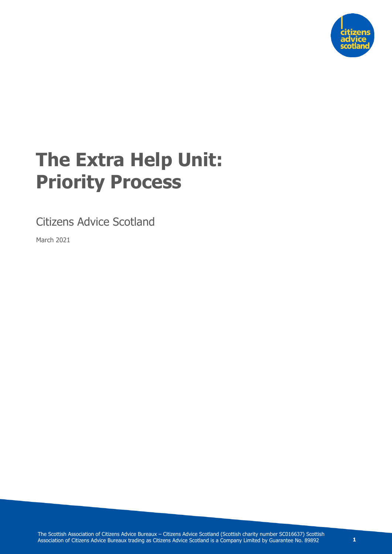

# **The Extra Help Unit: Priority Process**

Citizens Advice Scotland

March 2021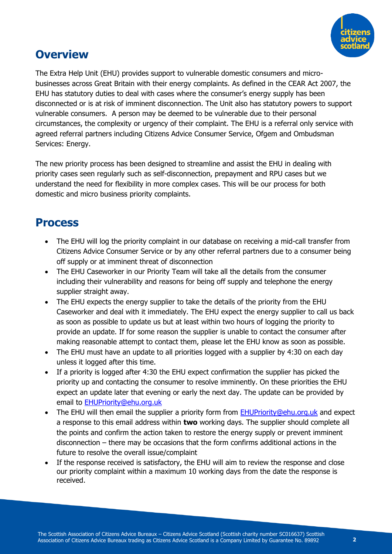

#### **Overview**

The Extra Help Unit (EHU) provides support to vulnerable domestic consumers and microbusinesses across Great Britain with their energy complaints. As defined in the CEAR Act 2007, the EHU has statutory duties to deal with cases where the consumer's energy supply has been disconnected or is at risk of imminent disconnection. The Unit also has statutory powers to support vulnerable consumers. A person may be deemed to be vulnerable due to their personal circumstances, the complexity or urgency of their complaint. The EHU is a referral only service with agreed referral partners including Citizens Advice Consumer Service, Ofgem and Ombudsman Services: Energy.

The new priority process has been designed to streamline and assist the EHU in dealing with priority cases seen regularly such as self-disconnection, prepayment and RPU cases but we understand the need for flexibility in more complex cases. This will be our process for both domestic and micro business priority complaints.

#### **Process**

- The EHU will log the priority complaint in our database on receiving a mid-call transfer from Citizens Advice Consumer Service or by any other referral partners due to a consumer being off supply or at imminent threat of disconnection
- The EHU Caseworker in our Priority Team will take all the details from the consumer including their vulnerability and reasons for being off supply and telephone the energy supplier straight away.
- The EHU expects the energy supplier to take the details of the priority from the EHU Caseworker and deal with it immediately. The EHU expect the energy supplier to call us back as soon as possible to update us but at least within two hours of logging the priority to provide an update. If for some reason the supplier is unable to contact the consumer after making reasonable attempt to contact them, please let the EHU know as soon as possible.
- The EHU must have an update to all priorities logged with a supplier by 4:30 on each day unless it logged after this time.
- If a priority is logged after 4:30 the EHU expect confirmation the supplier has picked the priority up and contacting the consumer to resolve imminently. On these priorities the EHU expect an update later that evening or early the next day. The update can be provided by email to [EHUPriority@ehu.org.uk](mailto:EHUPriority@ehu.org.uk)
- The EHU will then email the supplier a priority form from [EHUPriority@ehu.org.uk](mailto:EHUPriority@ehu.org.uk) and expect a response to this email address within **two** working days. The supplier should complete all the points and confirm the action taken to restore the energy supply or prevent imminent disconnection – there may be occasions that the form confirms additional actions in the future to resolve the overall issue/complaint
- If the response received is satisfactory, the EHU will aim to review the response and close our priority complaint within a maximum 10 working days from the date the response is received.